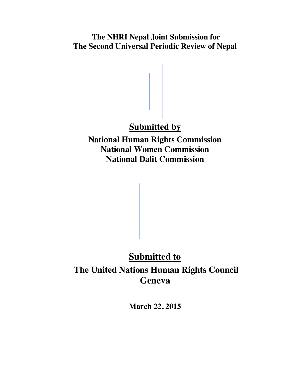**The NHRI Nepal Joint Submission for The Second Universal Periodic Review of Nepal**

# **Submitted by**

**National Human Rights Commission National Women Commission National Dalit Commission**

# **Submitted to The United Nations Human Rights Council Geneva**

**March 22, 2015**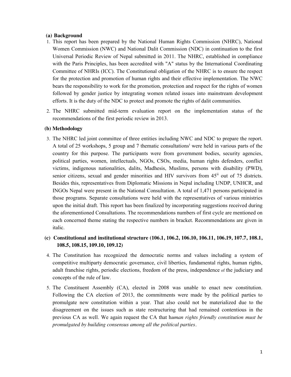#### **(a) Background**

- 1. This report has been prepared by the National Human Rights Commission (NHRC), National Women Commission (NWC) and National Dalit Commission (NDC) in continuation to the first Universal Periodic Review of Nepal submitted in 2011. The NHRC, established in compliance with the Paris Principles, has been accredited with "A" status by the International Coordinating Committee of NHRIs (ICC). The Constitutional obligation of the NHRC is to ensure the respect for the protection and promotion of human rights and their effective implementation. The NWC bears the responsibility to work for the promotion, protection and respect for the rights of women followed by gender justice by integrating women related issues into mainstream development efforts. It is the duty of the NDC to protect and promote the rights of dalit communities.
- 2. The NHRC submitted mid-term evaluation report on the implementation status of the recommendations of the first periodic review in 2013.

## **(b) Methodology**

- 3. The NHRC led joint committee of three entities including NWC and NDC to prepare the report. A total of 25 workshops, 5 group and 7 thematic consultations<sup>i</sup> were held in various parts of the country for this purpose. The participants were from government bodies, security agencies, political parties, women, intellectuals, NGOs, CSOs, media, human rights defenders, conflict victims, indigenous nationalities, dalits, Madhesis, Muslims, persons with disability (PWD), senior citizens, sexual and gender minorities and HIV survivors from 45<sup>ii</sup> out of 75 districts. Besides this, representatives from Diplomatic Missions in Nepal including UNDP, UNHCR, and INGOs Nepal were present in the National Consultation. A total of 1,471 persons participated in those programs. Separate consultations were held with the representatives of various ministries upon the initial draft. This report has been finalized by incorporating suggestions received during the aforementioned Consultations. The recommendations numbers of first cycle are mentioned on each concerned theme stating the respective numbers in bracket. Recommendations are given in italic.
- **(c) Constitutional and institutional structure (106.1, 106.2, 106.10, 106.11, 106.19, 107.7, 108.1, 108.5, 108.15, 109.10, 109.12)**
- 4. The Constitution has recognized the democratic norms and values including a system of competitive multiparty democratic governance, civil liberties, fundamental rights, human rights, adult franchise rights, periodic elections, freedom of the press, independence of the judiciary and concepts of the rule of law.
- 5. The Constituent Assembly (CA), elected in 2008 was unable to enact new constitution. Following the CA election of 2013, the commitments were made by the political parties to promulgate new constitution within a year. That also could not be materialized due to the disagreement on the issues such as state restructuring that had remained contentious in the previous CA as well. We again request the CA that h*uman rights friendly constitution must be promulgated by building consensus among all the political parties.*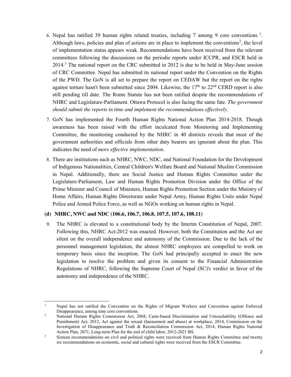- 6. Nepal has ratified 39 human rights related treaties, including 7 among 9 core conventions  $1$ . Although laws, policies and plan of actions are in place to implement the conventions<sup>2</sup>, the level of implementation status appears weak. Recommendations have been received from the relevant committees following the discussions on the periodic reports under ICCPR, and ESCR held in 2014.3 The national report on the CRC submitted in 2012 is due to be held in May-June session of CRC Committee. Nepal has submitted its national report under the Convention on the Rights of the PWD. The GoN is all set to prepare the report on CEDAW but the report on the rights against torture hasn't been submitted since 2004. Likewise, the  $17<sup>th</sup>$  to  $22<sup>nd</sup>$  CERD report is also still pending till date. The Rome Statute has not been ratified despite the recommendations of NHRC and Legislature-Parliament. Ottawa Protocol is also facing the same fate. *The government should submit the reports in time and implement the recommendations effectively*.
- 7. GoN has implemented the Fourth Human Rights National Action Plan 2014-2018. Though awareness has been raised with the effort inculcated from Monitoring and Implementing Committee, the monitoring conducted by the NHRC in 40 districts reveals that most of the government authorities and officials from other duty bearers are ignorant about the plan. This indicates the need of *more effective implementation.*
- 8. There are institutions such as NHRC, NWC, NDC, and National Foundation for the Development of Indigenous Nationalities, Central Children's Welfare Board and National Muslim Commission in Nepal. Additionally, there are Social Justice and Human Rights Committee under the Legislature-Parliament, Law and Human Rights Promotion Division under the Office of the Prime Minister and Council of Ministers, Human Rights Promotion Section under the Ministry of Home Affairs, Human Rights Directorate under Nepal Army, Human Rights Units under Nepal Police and Armed Police Force, as well as NGOs working on human rights in Nepal.

## **(d) NHRC, NWC and NDC (106.6, 106.7, 106.8, 107.5, 107.6, 108.11)**

9. The NHRC is elevated to a constitutional body by the Interim Constitution of Nepal, 2007. Following this, NHRC Act-2012 was enacted. However, both the Constitution and the Act are silent on the overall independence and autonomy of the Commission. Due to the lack of the personnel management legislation, the almost NHRC employees are compelled to work on temporary basis since the inception. The GoN had principally accepted to enact the new legislation to resolve the problem and given its consent to the Financial Administration Regulations of NHRC, following the Supreme Court of Nepal (SC)'s verdict in favor of the autonomy and independence of the NHRC.

 $\overline{a}$ <sup>1</sup> Nepal has not ratified the Convention on the Rights of Migrant Workers and Convention against Enforced Disappearance, among nine core conventions.

<sup>&</sup>lt;sup>2</sup> National Human Rights Commission Act, 2068, Caste-based Discrimination and Untouchability (Offence and Punishment) Act, 2012, Act against the sexual (harassment and abuse) at workplace, 2014, Commission on the Investigation of Disappearance and Truth & Reconciliation Commission Act, 2014, Human Rights National Action Plan, 2071, Long-term Plan for the end of child labor, 2012-2021 BS.

<sup>&</sup>lt;sup>3</sup> Sixteen recommendations on civil and political rights were received from Human Rights Committee and twenty six recommendations on economic, social and cultural rights were received from the ESCR Committee.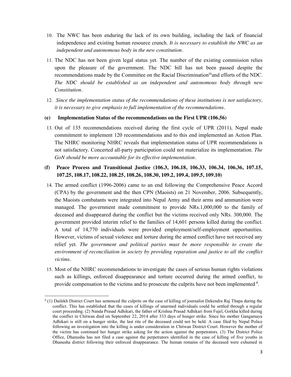- 10. The NWC has been enduring the lack of its own building, including the lack of financial independence and existing human resource crunch. *It is necessary to establish the NWC as an independent and autonomous body in the new constitution.*
- 11. The NDC has not been given legal status yet. The number of the existing commission relies upon the pleasure of the government. The NDC bill has not been passed despite the recommendations made by the Committee on the Racial Discriminationiiiand efforts of the NDC. *The NDC should be established as an independent and autonomous body through new Constitution.*
- 12. *Since the implementation status of the recommendations of these institutions is not satisfactory, it is necessary to give emphasis to full implementation of the recommendations.*

#### **(e) Implementation Status of the recommendations on the First UPR (106.56)**

13. Out of 135 recommendations received during the first cycle of UPR (2011), Nepal made commitment to implement 120 recommendations and to this end implemented an Action Plan. The NHRC monitoring NHRC reveals that implementation status of UPR recommendations is not satisfactory. Concerted all-party participation could not materialize its implementation. *The GoN should be more accountable for its effective implementation.*

# **(f) Peace Process and Transitional Justice (106.3, 106.18, 106.33, 106.34, 106.36, 107.15, 107.25, 108.17, 108.22, 108.25, 108.26, 108.30, 109.2, 109.4, 109.5, 109.10)**

- 14. The armed conflict (1996-2006) came to an end following the Comprehensive Peace Accord (CPA) by the government and the then CPN (Maoists) on 21 November, 2006. Subsequently, the Maoists combatants were integrated into Nepal Army and their arms and ammunition were managed. The government made commitment to provide NRs.1,000,000 to the family of deceased and disappeared during the conflict but the victims received only NRs. 300,000. The government provided interim relief to the families of 14,601 persons killed during the conflict. A total of 14,770 individuals were provided employment/self-employment opportunities. However, victims of sexual violence and torture during the armed conflict have not received any relief yet. *The government and political parties must be more responsible to create the environment of reconciliation in society by providing reparation and justice to all the conflict victims.*
- 15. Most of the NHRC recommendations to investigate the cases of serious human rights violations such as killings, enforced disappearance and torture occurred during the armed conflict, to provide compensation to the victims and to prosecute the culprits have not been implemented <sup>4</sup>.

 $\overline{a}$ 

<sup>4</sup> (1) Dailekh District Court has sentenced the culprits on the case of killing of journalist Dekendra Raj Thapa during the conflict. This has established that the cases of killings of unarmed individuals could be settled through a regular court proceeding. (2) Nanda Prasad Adhikari, the father of Krishna Prasad Adhikari from Fujel, Gorkha killed during the conflict in Chitwan died on September 22, 2014 after 333 days of hunger strike. Since his mother Gangamaya Adhikari is still on a hunger strike, the last rite of the deceased could not be held. A case filed by Nepal Police following an investigation into the killing is under consideration in Chitwan District Court. However the mother of the victim has continued her hunger strike asking for the action against the perpetrators. (3) The District Police Office, Dhanusha has not filed a case against the perpetrators identified in the case of killing of five youths in Dhanusha district following their enforced disappearance. The human remains of the deceased were exhumed in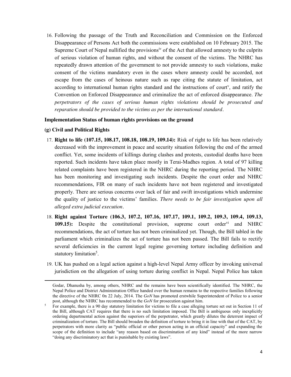16. Following the passage of the Truth and Reconciliation and Commission on the Enforced Disappearance of Persons Act both the commissions were established on 10 February 2015. The Supreme Court of Nepal nullified the provisions<sup>iv</sup> of the Act that allowed amnesty to the culprits of serious violation of human rights, and without the consent of the victims. The NHRC has repeatedly drawn attention of the government to not provide amnesty to such violations, make consent of the victims mandatory even in the cases where amnesty could be accorded, not escape from the cases of heinous nature such as rape citing the statute of limitation, act according to international human rights standard and the instructions of court<sup>y</sup>, and ratify the Convention on Enforced Disappearance and criminalize the act of enforced disappearance. *The perpetrators of the cases of serious human rights violations should be prosecuted and reparation should be provided to the victims as per the international standard.*

#### **Implementation Status of human rights provisions on the ground**

#### **(g) Civil and Political Rights**

 $\overline{a}$ 

- 17. **Right to life (107.15, 108.17, 108.18, 108.19, 109.14):** Risk of right to life has been relatively decreased with the improvement in peace and security situation following the end of the armed conflict. Yet, some incidents of killings during clashes and protests, custodial deaths have been reported. Such incidents have taken place mostly in Terai-Madhes region. A total of 97 killing related complaints have been registered in the NHRC during the reporting period. The NHRC has been monitoring and investigating such incidents. Despite the court order and NHRC recommendations, FIR on many of such incidents have not been registered and investigated properly. There are serious concerns over lack of fair and swift investigations which undermine the quality of justice to the victims' families. *There needs to be fair investigation upon all alleged extra judicial execution.*
- 18. **Right against Torture (106.3, 107.2, 107.16, 107.17, 109.1, 109.2, 109.3, 109.4, 109.13, 109.15):** Despite the constitutional provision, supreme court order<sup>vi</sup> and NHRC recommendations, the act of torture has not been criminalized yet. Though, the Bill tabled in the parliament which criminalizes the act of torture has not been passed. The Bill fails to rectify several deficiencies in the current legal regime governing torture including definition and statutory limitation<sup>5</sup>.
- 19. UK has pushed on a legal action against a high-level Nepal Army officer by invoking universal jurisdiction on the allegation of using torture during conflict in Nepal. Nepal Police has taken

Godar, Dhanusha by, among others, NHRC and the remains have been scientifically identified. The NHRC, the Nepal Police and District Administration Office handed over the human remains to the respective families following the directive of the NHRC 0n 22 July, 2014. The *GoN* has promoted erstwhile Superintendent of Police to a senior post, although the NHRC has recommended to the *GoN* for prosecution against him.

 $5$  For example, there is a 90 day statutory limitation for victims to file a case alleging torture set out in Section 11 of the Bill, although CAT requires that there is no such limitation imposed. The Bill is ambiguous only inexplicitly ordering departmental action against the superiors of the perpetrator, which greatly dilutes the deterrent impact of criminalization of torture. The Bill should broaden the definition of torture to bring it in line with that of the CAT, by perpetrators with more clarity as "public official or other person acting in an official capacity" and expanding the scope of the definition to include "any reason based on discrimination of any kind" instead of the more narrow "doing any discriminatory act that is punishable by existing laws".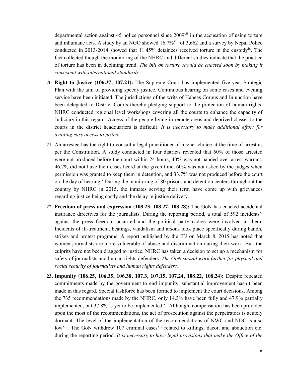departmental action against 45 police personnel since 2009<sup>vii</sup> in the accusation of using torture and inhumane acts. A study by an NGO showed 16.7%<sup>viii</sup> of 3,662 and a survey by Nepal Police conducted in 2013-2014 showed that 11.45% detainees received torture in the custodyix. The fact collected though the monitoring of the NHRC and different studies indicate that the practice of torture has been in declining trend. *The bill on torture should be enacted soon by making it consistent with international standards*.

- 20. **Right to Justice (106.37, 107.21):** The Supreme Court has implemented five-year Strategic Plan with the aim of providing speedy justice. Continuous hearing on some cases and evening service have been initiated. The jurisdictions of the writs of Habeas Corpus and Injunction have been delegated to District Courts thereby pledging support to the protection of human rights. NHRC conducted regional level workshops covering all the courts to enhance the capacity of Judiciary in this regard. Access of the people living in remote areas and deprived classes to the courts in the district headquarters is difficult*. It is necessary to make additional effort for availing easy access to justice.*
- 21. An arrestee has the right to consult a legal practitioner of his/her choice at the time of arrest as per the Constitution. A study conducted in four districts revealed that 60% of those arrested were not produced before the court within 24 hours, 40% was not handed over arrest warrant, 46.7% did not have their cases heard at the given time, 60% was not asked by the judges when permission was granted to keep them in detention, and 33.7% was not produced before the court on the day of hearing.<sup>x</sup> During the monitoring of 80 prisons and detention centers throughout the country by NHRC in 2015, the inmates serving their term have come up with grievances regarding justice being costly and the delay in justice delivery.
- 22. **Freedom of press and expression (108.23, 108.27, 108.28):** The GoN has enacted accidental insurance directives for the journalists. During the reporting period, a total of  $592$  incidents<sup>xi</sup> against the press freedom occurred and the political party cadres were involved in them. Incidents of ill-treatment, beatings, vandalism and arsons took place specifically during bandh, strikes and protest programs. A report published by the IFJ on March 8, 2015 has noted that women journalists are more vulnerable of abuse and discrimination during their work. But, the culprits have not been dragged to justice. NHRC has taken a decision to set up a mechanism for safety of journalists and human rights defenders. *The GoN should work further for physical and social security of journalists and human rights defenders.*
- **23. Impunity (106.25, 106.35, 106.38, 107.3, 107.15, 107.24, 108.22, 108.24):** Despite repeated commitments made by the government to end impunity, substantial improvement hasn't been made in this regard. Special taskforce has been formed to implement the court decisions. Among the 735 recommendations made by the NHRC, only 14.3% have been fully and 47.9% partially implemented, but 37.8% is yet to be implemented.<sup>xii</sup> Although, compensation has been provided upon the most of the recommendations, the act of prosecution against the perpetrators is acutely dormant. The level of the implementation of the recommendations of NWC and NDC is also low<sup>xiii</sup>. The GoN withdrew 107 criminal cases<sup>xiv</sup> related to killings, dacoit and abduction etc. during the reporting period. *It is necessary to have legal provisions that make the Office of the*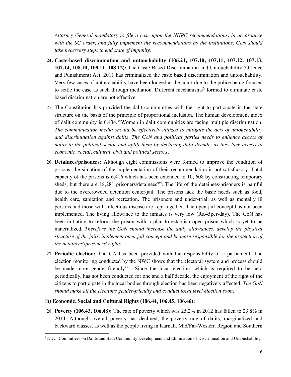*Attorney General mandatory to file a case upon the NHRC recommendations, in accordance with the SC order, and fully implement the recommendations by the institutions. GoN should take necessary steps to end state of impunity.*

- **24. Caste-based discrimination and untouchability (106.24, 107.10, 107.11, 107.12, 107.13, 107.14, 108.10, 108.11, 108.12):** The Caste-Based Discrimination and Untouchability (Offence and Punishment) Act, 2011 has criminalized the caste based discrimination and untouchability. Very few cases of untouchability have been lodged at the court due to the police being focused to settle the case as such through mediation. Different mechanisms<sup>6</sup> formed to eliminate caste based discrimination are not effective.
- 25. The Constitution has provided the dalit communities with the right to participate in the state structure on the basis of the principle of proportional inclusion. The human development index of dalit community is 0.434.xvWomen in dalit communities are facing multiple discrimination. *The communication media should be effectively utilized to mitigate the acts of untouchability and discrimination against dalits. The GoN and political parties needs to enhance access of dalits to the political sector and uplift them by declaring dalit decade, as they lack access to economic, social, cultural, civil and political sectors.*
- 26. **Detainees/prisoners:** Although eight commissions were formed to improve the condition of prisons, the situation of the implementation of their recommendation is not satisfactory. Total capacity of the prisons is 6,416 which has been extended to 10, 608 by constructing temporary sheds, but there are  $18,281$  prisoners/detainees<sup>xvi</sup>. The life of the detainees/prisoners is painful due to the overcrowded detention center/jail. The prisons lack the basic needs such as food, health care, sanitation and recreation. The prisoners and under-trial, as well as mentally ill persons and those with infectious disease are kept together. The open jail concept has not been implemented. The living allowance to the inmates is very low (Rs.45per-day). The GoN has been initiating to reform the prison with a plan to establish open prison which is yet to be materialized. *Therefore the GoN should increase the daily allowances, develop the physical structure of the jails, implement open jail concept and be more responsible for the protection of the detainees'/prisoners' rights.*
- 27. **Periodic election:** The CA has been provided with the responsibility of a parliament. The election monitoring conducted by the NWC shows that the electoral system and process should be made more gender-friendly<sup>xvii</sup>. Since the local election, which is required to be held periodically, has not been conducted for one and a half decade, the enjoyment of the right of the citizens to participate in the local bodies through election has been negatively affected. *The GoN should make all the elections gender-friendly and conduct local level election soon.*

#### **(h) Economic, Social and Cultural Rights (106.44, 106.45, 106.46):**

 $\overline{a}$ 

28. **Poverty (106.43, 106.48):** The rate of poverty which was 25.2% in 2012 has fallen to 23.8% in 2014. Although overall poverty has declined, the poverty rate of dalits, marginalized and backward classes, as well as the people living in Karnali, Mid/Far-Western Region and Southern

<sup>6</sup> NDC, Committees on Dalits and Badi Community Development and Elimination of Discrimination and Untouchability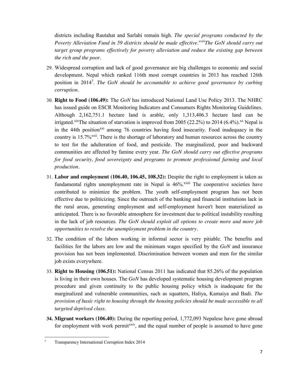districts including Rautahat and Sarlahi remain high. *The special programs conducted by the Poverty Alleviation Fund in 59 districts should be made effective.xviiiThe GoN should carry out target group programs effectively for poverty alleviation and reduce the existing gap between the rich and the poor.*

- 29. Widespread corruption and lack of good governance are big challenges to economic and social development. Nepal which ranked 116th most corrupt countries in 2013 has reached 126th position in 20147 . *The GoN should be accountable to achieve good governance by curbing corruption.*
- 30. **Right to Food (106.49):** The *GoN* has introduced National Land Use Policy 2013. The NHRC has issued guide on ESCR Monitoring Indicators and Consumers Rights Monitoring Guidelines. Although 2,162,751.1 hectare land is arable, only 1,313,406.3 hectare land can be irrigated.<sup>xix</sup>The situation of starvation is improved from 2005 (22.2%) to 2014 (6.4%).<sup>xx</sup> Nepal is in the 44th position<sup>xxi</sup> among 76 countries having food insecurity. Food inadequacy in the country is 15.7%<sup>xxii</sup>. There is the shortage of laboratory and human resources across the country to test for the adulteration of food, and pesticide. The marginalized, poor and backward communities are affected by famine every year. *The GoN should carry out effective programs for food security, food sovereignty and programs to promote professional farming and local production.*
- 31. **Labor and employment (106.40, 106.45, 108.32):** Despite the right to employment is taken as fundamental rights unemployment rate in Nepal is  $46\%$ <sup>xxiii</sup> The cooperative societies have contributed to minimize the problem. The youth self-employment program has not been effective due to politicizing. Since the outreach of the banking and financial institutions lack in the rural areas, generating employment and self-employment haven't been materialized as anticipated. There is no favorable atmosphere for investment due to political instability resulting in the lack of job resources. *The GoN should exploit all options to create more and more job opportunities to resolve the unemployment problem in the country.*
- 32. The condition of the labors working in informal sector is very pitiable. The benefits and facilities for the labors are low and the minimum wages specified by the *GoN* and insurance provision has not been implemented. Discrimination between women and men for the similar job exists everywhere.
- 33. **Right to Housing (106.51):** National Census 2011 has indicated that 85.26% of the population is living in their own houses. The *GoN* has developed systematic housing development program procedure and given continuity to the public housing policy which is inadequate for the marginalized and vulnerable communities, such as squatters, Haliya, Kamaiya and Badi. *The provision of basic right to housing through the housing policies should be made accessible to all targeted deprived class.*
- **34. Migrant workers (106.40):** During the reporting period, 1,772,093 Nepalese have gone abroad for employment with work permit<sup>xxiv</sup>, and the equal number of people is assumed to have gone

 $\overline{7}$ <sup>7</sup> Transparency International Corruption Index 2014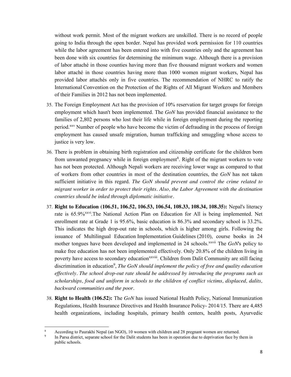without work permit. Most of the migrant workers are unskilled. There is no record of people going to India through the open border. Nepal has provided work permission for 110 countries while the labor agreement has been entered into with five countries only and the agreement has been done with six countries for determining the minimum wage. Although there is a provision of labor attaché in those counties having more than five thousand migrant workers and women labor attaché in those countries having more than 1000 women migrant workers, Nepal has provided labor attachés only in five countries. The recommendation of NHRC to ratify the International Convention on the Protection of the Rights of All Migrant Workers and Members of their Families in 2012 has not been implemented.

- 35. The Foreign Employment Act has the provision of 10% reservation for target groups for foreign employment which hasn't been implemented. The *GoN* has provided financial assistance to the families of 2,802 persons who lost their life while in foreign employment during the reporting period.xxv Number of people who have become the victim of defrauding in the process of foreign employment has caused unsafe migration, human trafficking and smuggling whose access to justice is very low.
- 36. There is problem in obtaining birth registration and citizenship certificate for the children born from unwanted pregnancy while in foreign employment<sup>8</sup>. Right of the migrant workers to vote has not been protected. Although Nepali workers are receiving lower wage as compared to that of workers from other countries in most of the destination countries, the *GoN* has not taken sufficient initiative in this regard. *The GoN should prevent and control the crime related to migrant worker in order to protect their rights. Also, the Labor Agreement with the destination countries should be inked through diplomatic initiative.*
- 37. **Right to Education (106.51, 106.52, 106.53, 106.54, 108.33, 108.34, 108.35):** Nepal's literacy rate is 65.9%<sup>xxvi</sup>.The National Action Plan on Education for All is being implemented. Net enrollment rate at Grade 1 is 95.6%, basic education is 86.3% and secondary school is 33.2%. This indicates the high drop-out rate in schools, which is higher among girls. Following the issuance of Multilingual Education Implementation Guidelines (2010), course books in 24 mother tongues have been developed and implemented in 24 schools.<sup>xxvii</sup> The *GoN*'s policy to make free education has not been implemented effectively. Only 20.8% of the children living in poverty have access to secondary education<sup>xxviii</sup>. Children from Dalit Community are still facing discrimination in education<sup>9</sup>, *The GoN should implement the policy of free and quality education effectively. The school drop-out rate should be addressed by introducing the programs such as scholarships, food and uniform in schools to the children of conflict victims, displaced, dalits, backward communities and the poor.*
- 38. **Right to Health (106.52):** The *GoN* has issued National Health Policy, National Immunization Regulations, Health Insurance Directives and Health Insurance Policy- 2014/15. There are 4,485 health organizations, including hospitals, primary health centers, health posts, Ayurvedic

 $\overline{a}$ 

<sup>8</sup> According to Paurakhi Nepal (an NGO), 10 women with children and 28 pregnant women are returned.

In Parsa district, separate school for the Dalit students has been in operation due to deprivation face by them in public schools.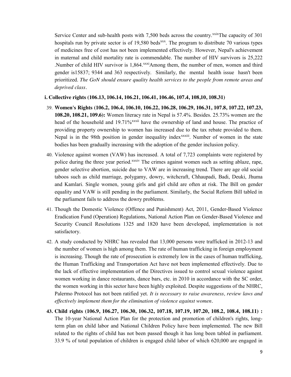Service Center and sub-health posts with 7,500 beds across the country.<sup>xxix</sup>The capacity of 301 hospitals run by private sector is of 19,580 beds<sup>xxx</sup>. The program to distribute 70 various types of medicines free of cost has not been implemented effectively. However, Nepal's achievement in maternal and child mortality rate is commendable. The number of HIV survivors is 25,222 .Number of child HIV survivor is 1,864.<sup>xxxi</sup>Among them, the number of men, women and third gender is15837; 9344 and 363 respectively. Similarly, the mental health issue hasn't been prioritized. *The GoN should ensure quality health services to the people from remote areas and deprived class.*

#### **i. Collective rights (106.13, 106.14, 106.21, 106.41, 106.46, 107.4, 108,10, 108.31)**

- 39. **Women's Rights (106.2, 106.4, 106.10, 106.22, 106.28, 106.29, 106.31, 107.8, 107.22, 107.23, 108.20, 108.21, 109.6):** Women literacy rate in Nepal is 57.4%. Besides. 25.73% women are the head of the household and 19.71%<sup>xxxii</sup> have the ownership of land and house. The practice of providing property ownership to women has increased due to the tax rebate provided to them. Nepal is in the 98th position in gender inequality index<sup>xxxiii</sup>. Number of women in the state bodies has been gradually increasing with the adoption of the gender inclusion policy.
- 40. Violence against women (VAW) has increased. A total of 7,723 complaints were registered by police during the three year period.<sup>xxxiv</sup> The crimes against women such as setting ablaze, rape, gender selective abortion, suicide due to VAW are in increasing trend. There are age old social taboos such as child marriage, polygamy, dowry, witchcraft, Chhaupadi, Badi, Deuki, Jhuma and Kamlari. Single women, young girls and girl child are often at risk. The Bill on gender equality and VAW is still pending in the parliament. Similarly, the Social Reform Bill tabled in the parliament fails to address the dowry problems.
- 41. Though the Domestic Violence (Offence and Punishment) Act, 2011, Gender-Based Violence Eradication Fund (Operation) Regulations, National Action Plan on Gender-Based Violence and Security Council Resolutions 1325 and 1820 have been developed, implementation is not satisfactory.
- 42. A study conducted by NHRC has revealed that 13,000 persons were trafficked in 2012-13 and the number of women is high among them. The rate of human trafficking in foreign employment is increasing. Though the rate of prosecution is extremely low in the cases of human trafficking, the Human Trafficking and Transportation Act have not been implemented effectively. Due to the lack of effective implementation of the Directives issued to control sexual violence against women working in dance restaurants, dance bars, etc. in 2010 in accordance with the SC order, the women working in this sector have been highly exploited. Despite suggestions of the NHRC, Palermo Protocol has not been ratified yet. *It is necessary to raise awareness, review laws and effectively implement them for the elimination of violence against women.*
- **43. Child rights (106.9, 106.27, 106.30, 106.32, 107.18, 107.19, 107.20, 108.2, 108.4, 108.11) :** The 10-year National Action Plan for the protection and promotion of children's rights, longterm plan on child labor and National Children Policy have been implemented. The new Bill related to the rights of child has not been passed though it has long been tabled in parliament. 33.9 % of total population of children is engaged child labor of which 620,000 are engaged in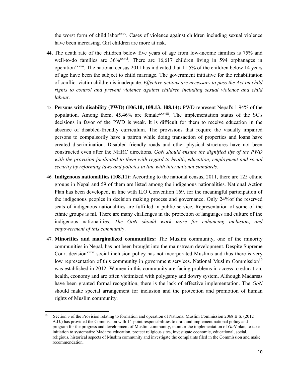the worst form of child labor<sup>xxxv</sup>. Cases of violence against children including sexual violence have been increasing. Girl children are more at risk.

- **44.** The death rate of the children below five years of age from low-income families is 75% and well-to-do families are  $36\%$ <sup>xxxvi</sup>. There are  $16,617$  children living in 594 orphanages in operation<sup>xxxvii</sup>. The national census 2011 has indicated that  $11.5\%$  of the children below 14 years of age have been the subject to child marriage. The government initiative for the rehabilitation of conflict victim children is inadequate. *Effective actions are necessary to pass the Act on child rights to control and prevent violence against children including sexual violence and child labour.*
- 45. **Persons with disability (PWD) (106.10, 108.13, 108.14):** PWD represent Nepal's 1.94% of the population. Among them, 45.46% are femalexxxviii. The implementation status of the SC's decisions in favor of the PWD is weak. It is difficult for them to receive education in the absence of disabled-friendly curriculum. The provisions that require the visually impaired persons to compulsorily have a patron while doing transaction of properties and loans have created discrimination. Disabled friendly roads and other physical structures have not been constructed even after the NHRC directions. *GoN should ensure the dignified life of the PWD with the provision facilitated to them with regard to health, education, employment and social security by reforming laws and policies in line with international standards.*
- 46. **Indigenous nationalities (108.11):** According to the national census, 2011, there are 125 ethnic groups in Nepal and 59 of them are listed among the indigenous nationalities. National Action Plan has been developed, in line with ILO Convention 169, for the meaningful participation of the indigenous peoples in decision making process and governance. Only 24%of the reserved seats of indigenous nationalities are fulfilled in public service. Representation of some of the ethnic groups is nil. There are many challenges in the protection of languages and culture of the indigenous nationalities. *The GoN should work more for enhancing inclusion, and empowerment of this community.*
- 47. **Minorities and marginalized communities:** The Muslim community, one of the minority communities in Nepal, has not been brought into the mainstream development. Despite Supreme Court decision<sup>xxxix</sup> social inclusion policy has not incorporated Muslims and thus there is very low representation of this community in government services. National Muslim Commission<sup>10</sup> was established in 2012. Women in this community are facing problems in access to education, health, economy and are often victimized with polygamy and dowry system. Although Madarsas have been granted formal recognition, there is the lack of effective implementation. The *GoN*  should make special arrangement for inclusion and the protection and promotion of human rights of Muslim community.

 $\overline{a}$ <sup>10</sup> Section 3 of the Provision relating to formation and operation of National Muslim Commission 2068 B.S. (2012) A.D.) has provided the Commission with 14-point responsibilities to draft and implement national policy and program for the progress and development of Muslim community, monitor the implementation of *GoN* plan, to take initiation to systematize Madarsa education, protect religious sites, investigate economic, educational, social, religious, historical aspects of Muslim community and investigate the complaints filed in the Commission and make recommendation.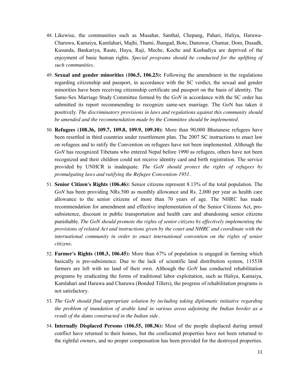- 48. Likewise, the communities such as Musahar, Santhal, Chepang, Pahari, Haliya, Haruwa-Charuwa, Kamaiya, Kamlahari, Majhi, Thami, Jhangad, Bote, Danuwar, Chamar, Dom, Dusadh, Kusunda, Bankariya, Raute, Hayu, Raji, Meche, Koche and Kusbadiya are deprived of the enjoyment of basic human rights. *Special programs should be conducted for the uplifting of such communities.*
- 49. **Sexual and gender minorities (106.5, 106.23):** Following the amendment in the regulations regarding citizenship and passport, in accordance with the SC verdict, the sexual and gender minorities have been receiving citizenship certificate and passport on the basis of identity. The Same-Sex Marriage Study Committee formed by the *GoN* in accordance with the SC order has submitted its report recommending to recognize same-sex marriage. The GoN has taken it positively. *The discriminatory provisions in laws and regulations against this community should be amended and the recommendation made by the Committee should be implemented.*
- 50. **Refugees (108.36, 109.7, 109.8, 109.9, 109.10):** More than 90,000 Bhutanese refugees have been resettled in third countries under resettlement plan. The 2007 SC instructions to enact law on refugees and to ratify the Convention on refugees have not been implemented. Although the *GoN* has recognized Tibetans who entered Nepal before 1990 as refugees, others have not been recognized and their children could not receive identity card and birth registration. The service provided by UNHCR is inadequate. *The GoN should protect the rights of refugees by promulgating laws and ratifying the Refugee Convention-1951.*
- 51. **Senior Citizen's Rights (106.46):** Senior citizens represent 8.13% of the total population. The *GoN* has been providing NRs.500 as monthly allowance and Rs. 2,000 per year as health care allowance to the senior citizens of more than 70 years of age. The NHRC has made recommendation for amendment and effective implementation of the Senior Citizens Act, prosubsistence, discount in public transportation and health care and abandoning senior citizens punishable. *The GoN should promote the rights of senior citizens by effectively implementing the provisions of related Act and instructions given by the court and NHRC and coordinate with the international community in order to enact international convention on the rights of senior citizens.*
- 52. **Farmer's Rights (108.3, 106.45):** More than 67% of population is engaged in farming which basically is pro-subsistence. Due to the lack of scientific land distribution system, 115538 farmers are left with no land of their own. Although the *GoN* has conducted rehabilitation programs by eradicating the forms of traditional labor exploitation, such as Haliya, Kamaiya, Kamlahari and Haruwa and Charuwa (Bonded Tillers), the progress of rehabilitation programs is not satisfactory.
- 53. *The GoN should find appropriate solution by including taking diplomatic initiative regarding the problem of inundation of arable land in various areas adjoining the Indian border as a result of the dams constructed in the Indian side.*
- 54. **Internally Displaced Persons (106.55, 108.36):** Most of the people displaced during armed conflict have returned to their homes, but the confiscated properties have not been returned to the rightful owners, and no proper compensation has been provided for the destroyed properties.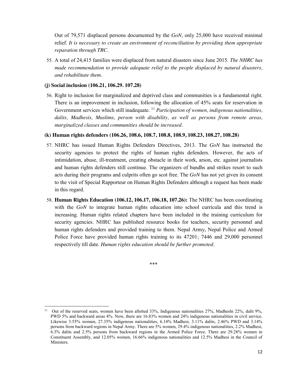Out of 79,571 displaced persons documented by the *GoN*, only 25,000 have received minimal relief. *It is necessary to create an environment of reconciliation by providing them appropriate reparation through TRC.*

55. A total of 24,415 families were displaced from natural disasters since June 2015. *The NHRC has made recommendation to provide adequate relief to the people displaced by natural disasters, and rehabilitate them.* 

#### **(j) Social inclusion (106.21, 106.29. 107.28)**

 $\overline{a}$ 

56. Right to inclusion for marginalized and deprived class and communities is a fundamental right. There is an improvement in inclusion, following the allocation of 45% seats for reservation in Government services which still inadequate. <sup>11</sup> *Participation of women, indigenous nationalities, dalits, Madhesis, Muslims, person with disability, as well as persons from remote areas, marginalized classes and communities should be increased.*

#### **(k) Human rights defenders (106.26, 108.6, 108.7, 108.8, 108.9, 108.23, 108.27, 108.28)**

- 57. NHRC has issued Human Rights Defenders Directives, 2013. The *GoN* has instructed the security agencies to protect the rights of human rights defenders. However, the acts of intimidation, abuse, ill-treatment, creating obstacle in their work, arson, etc. against journalists and human rights defenders still continue. The organizers of bandhs and strikes resort to such acts during their programs and culprits often go scot free. The *GoN* has not yet given its consent to the visit of Special Rapporteur on Human Rights Defenders although a request has been made in this regard.
- 58. **Human Rights Education (106.12, 106.17, 106.18, 107.26):** The NHRC has been coordinating with the *GoN* to integrate human rights education into school curricula and this trend is increasing. Human rights related chapters have been included in the training curriculum for security agencies. NHRC has published resource books for teachers, security personnel and human rights defenders and provided training to them. Nepal Army, Nepal Police and Armed Police Force have provided human rights training to its 47201; 7446 and 29,000 personnel respectively till date. *Human rights education should be further promoted.*

\*\*\*

<sup>&</sup>lt;sup>11</sup> Out of the reserved seats, women have been allotted 33%, Indigenous nationalities 27%, Madheshi 22%, dalit 9%, PWD 5% and backward areas 4%. Now, there are 16.83% women and 24% indigenous nationalities in civil service. Likewise 3.55% women, 27.35% indigenous nationalities, 6.14% Madhesi, 3.11% dalits, 2.46% PWD and 3.14% persons from backward regions in Nepal Army. There are 5% women, 29.4% indigenous nationalities, 2.2% Madhesi, 6.3% dalits and 2.5% persons from backward regions in the Armed Police Force. There are 29.28% women in Constituent Assembly, and 12.05% women, 16.66% indigenous nationalities and 12.5% Madhesi in the Council of Ministers.